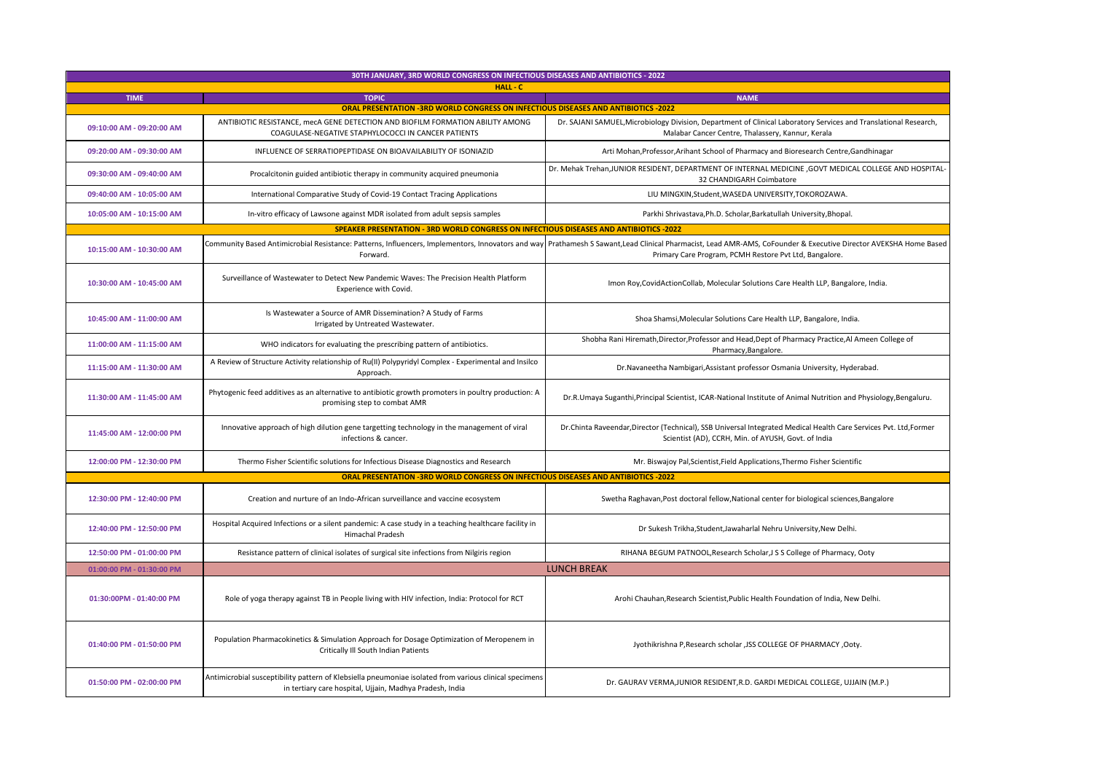| 30TH JANUARY, 3RD WORLD CONGRESS ON INFECTIOUS DISEASES AND ANTIBIOTICS - 2022            |                                                                                                                                                                    |                                                                                                                                                                                                                                                                            |  |
|-------------------------------------------------------------------------------------------|--------------------------------------------------------------------------------------------------------------------------------------------------------------------|----------------------------------------------------------------------------------------------------------------------------------------------------------------------------------------------------------------------------------------------------------------------------|--|
|                                                                                           | HALL - C                                                                                                                                                           |                                                                                                                                                                                                                                                                            |  |
| <b>TIME</b>                                                                               | <b>TOPIC</b><br><b>ORAL PRESENTATION -3RD WORLD CONGRESS ON INFECTIOUS DISEASES AND ANTIBIOTICS -2022</b>                                                          | <b>NAME</b>                                                                                                                                                                                                                                                                |  |
|                                                                                           |                                                                                                                                                                    |                                                                                                                                                                                                                                                                            |  |
| 09:10:00 AM - 09:20:00 AM                                                                 | ANTIBIOTIC RESISTANCE, mecA GENE DETECTION AND BIOFILM FORMATION ABILITY AMONG<br>COAGULASE-NEGATIVE STAPHYLOCOCCI IN CANCER PATIENTS                              | Dr. SAJANI SAMUEL, Microbiology Division, Department of Clinical Laboratory Services and Translational Research,<br>Malabar Cancer Centre, Thalassery, Kannur, Kerala                                                                                                      |  |
| 09:20:00 AM - 09:30:00 AM                                                                 | INFLUENCE OF SERRATIOPEPTIDASE ON BIOAVAILABILITY OF ISONIAZID                                                                                                     | Arti Mohan, Professor, Arihant School of Pharmacy and Bioresearch Centre, Gandhinagar                                                                                                                                                                                      |  |
| 09:30:00 AM - 09:40:00 AM                                                                 | Procalcitonin guided antibiotic therapy in community acquired pneumonia                                                                                            | Dr. Mehak Trehan, JUNIOR RESIDENT, DEPARTMENT OF INTERNAL MEDICINE , GOVT MEDICAL COLLEGE AND HOSPITAL-<br>32 CHANDIGARH Coimbatore                                                                                                                                        |  |
| 09:40:00 AM - 10:05:00 AM                                                                 | International Comparative Study of Covid-19 Contact Tracing Applications                                                                                           | LIU MINGXIN, Student, WASEDA UNIVERSITY, TOKOROZAWA.                                                                                                                                                                                                                       |  |
| 10:05:00 AM - 10:15:00 AM                                                                 | In-vitro efficacy of Lawsone against MDR isolated from adult sepsis samples                                                                                        | Parkhi Shrivastava, Ph.D. Scholar, Barkatullah University, Bhopal.                                                                                                                                                                                                         |  |
|                                                                                           | SPEAKER PRESENTATION - 3RD WORLD CONGRESS ON INFECTIOUS DISEASES AND ANTIBIOTICS -2022                                                                             |                                                                                                                                                                                                                                                                            |  |
| 10:15:00 AM - 10:30:00 AM                                                                 | Forward.                                                                                                                                                           | Community Based Antimicrobial Resistance: Patterns, Influencers, Implementors, Innovators and way Prathamesh S Sawant, Lead Clinical Pharmacist, Lead AMR-AMS, CoFounder & Executive Director AVEKSHA Home Based<br>Primary Care Program, PCMH Restore Pvt Ltd, Bangalore. |  |
| 10:30:00 AM - 10:45:00 AM                                                                 | Surveillance of Wastewater to Detect New Pandemic Waves: The Precision Health Platform<br>Experience with Covid.                                                   | Imon Roy, CovidActionCollab, Molecular Solutions Care Health LLP, Bangalore, India.                                                                                                                                                                                        |  |
| 10:45:00 AM - 11:00:00 AM                                                                 | Is Wastewater a Source of AMR Dissemination? A Study of Farms<br>Irrigated by Untreated Wastewater.                                                                | Shoa Shamsi, Molecular Solutions Care Health LLP, Bangalore, India.                                                                                                                                                                                                        |  |
| 11:00:00 AM - 11:15:00 AM                                                                 | WHO indicators for evaluating the prescribing pattern of antibiotics.                                                                                              | Shobha Rani Hiremath, Director, Professor and Head, Dept of Pharmacy Practice, Al Ameen College of<br>Pharmacy, Bangalore.                                                                                                                                                 |  |
| 11:15:00 AM - 11:30:00 AM                                                                 | A Review of Structure Activity relationship of Ru(II) Polypyridyl Complex - Experimental and Insilco<br>Approach.                                                  | Dr.Navaneetha Nambigari, Assistant professor Osmania University, Hyderabad.                                                                                                                                                                                                |  |
| 11:30:00 AM - 11:45:00 AM                                                                 | Phytogenic feed additives as an alternative to antibiotic growth promoters in poultry production: A<br>promising step to combat AMR                                | Dr.R.Umaya Suganthi, Principal Scientist, ICAR-National Institute of Animal Nutrition and Physiology, Bengaluru.                                                                                                                                                           |  |
| 11:45:00 AM - 12:00:00 PM                                                                 | Innovative approach of high dilution gene targetting technology in the management of viral<br>infections & cancer.                                                 | Dr.Chinta Raveendar, Director (Technical), SSB Universal Integrated Medical Health Care Services Pvt. Ltd, Former<br>Scientist (AD), CCRH, Min. of AYUSH, Govt. of India                                                                                                   |  |
| 12:00:00 PM - 12:30:00 PM                                                                 | Thermo Fisher Scientific solutions for Infectious Disease Diagnostics and Research                                                                                 | Mr. Biswajoy Pal, Scientist, Field Applications, Thermo Fisher Scientific                                                                                                                                                                                                  |  |
| <b>ORAL PRESENTATION -3RD WORLD CONGRESS ON INFECTIOUS DISEASES AND ANTIBIOTICS -2022</b> |                                                                                                                                                                    |                                                                                                                                                                                                                                                                            |  |
| 12:30:00 PM - 12:40:00 PM                                                                 | Creation and nurture of an Indo-African surveillance and vaccine ecosystem                                                                                         | Swetha Raghavan, Post doctoral fellow, National center for biological sciences, Bangalore                                                                                                                                                                                  |  |
| 12:40:00 PM - 12:50:00 PM                                                                 | Hospital Acquired Infections or a silent pandemic: A case study in a teaching healthcare facility in<br><b>Himachal Pradesh</b>                                    | Dr Sukesh Trikha, Student, Jawaharlal Nehru University, New Delhi.                                                                                                                                                                                                         |  |
| 12:50:00 PM - 01:00:00 PM                                                                 | Resistance pattern of clinical isolates of surgical site infections from Nilgiris region                                                                           | RIHANA BEGUM PATNOOL, Research Scholar, J S S College of Pharmacy, Ooty                                                                                                                                                                                                    |  |
| 01:00:00 PM - 01:30:00 PM                                                                 |                                                                                                                                                                    | <b>LUNCH BREAK</b>                                                                                                                                                                                                                                                         |  |
| 01:30:00PM - 01:40:00 PM                                                                  | Role of yoga therapy against TB in People living with HIV infection, India: Protocol for RCT                                                                       | Arohi Chauhan, Research Scientist, Public Health Foundation of India, New Delhi.                                                                                                                                                                                           |  |
| 01:40:00 PM - 01:50:00 PM                                                                 | Population Pharmacokinetics & Simulation Approach for Dosage Optimization of Meropenem in<br>Critically III South Indian Patients                                  | Jyothikrishna P, Research scholar , JSS COLLEGE OF PHARMACY , Ooty.                                                                                                                                                                                                        |  |
| 01:50:00 PM - 02:00:00 PM                                                                 | Antimicrobial susceptibility pattern of Klebsiella pneumoniae isolated from various clinical specimens<br>in tertiary care hospital, Ujjain, Madhya Pradesh, India | Dr. GAURAV VERMA, JUNIOR RESIDENT, R.D. GARDI MEDICAL COLLEGE, UJJAIN (M.P.)                                                                                                                                                                                               |  |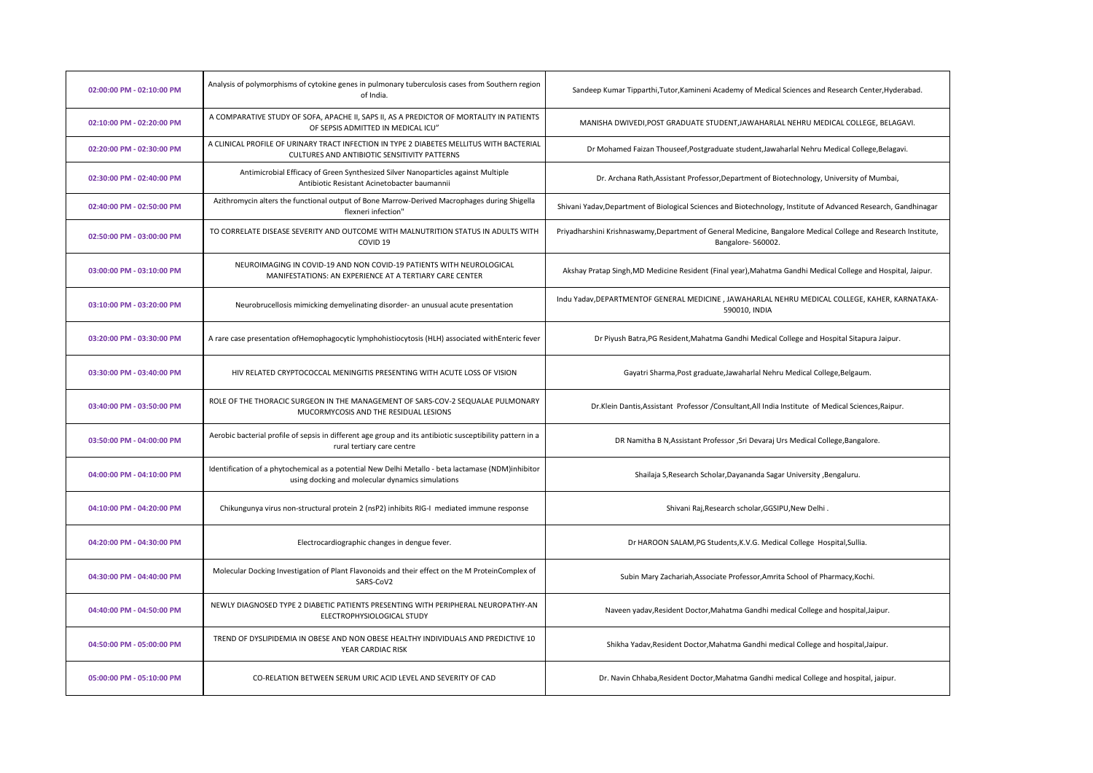| 02:00:00 PM - 02:10:00 PM | Analysis of polymorphisms of cytokine genes in pulmonary tuberculosis cases from Southern region<br>of India.                                          | Sandeep Kumar Tipparthi, Tutor, Kamineni Academy of Medical Sciences and Research Center, Hyderabad.                                |
|---------------------------|--------------------------------------------------------------------------------------------------------------------------------------------------------|-------------------------------------------------------------------------------------------------------------------------------------|
| 02:10:00 PM - 02:20:00 PM | A COMPARATIVE STUDY OF SOFA, APACHE II, SAPS II, AS A PREDICTOR OF MORTALITY IN PATIENTS<br>OF SEPSIS ADMITTED IN MEDICAL ICU"                         | MANISHA DWIVEDI, POST GRADUATE STUDENT, JAWAHARLAL NEHRU MEDICAL COLLEGE, BELAGAVI.                                                 |
| 02:20:00 PM - 02:30:00 PM | A CLINICAL PROFILE OF URINARY TRACT INFECTION IN TYPE 2 DIABETES MELLITUS WITH BACTERIAL<br>CULTURES AND ANTIBIOTIC SENSITIVITY PATTERNS               | Dr Mohamed Faizan Thouseef, Postgraduate student, Jawaharlal Nehru Medical College, Belagavi.                                       |
| 02:30:00 PM - 02:40:00 PM | Antimicrobial Efficacy of Green Synthesized Silver Nanoparticles against Multiple<br>Antibiotic Resistant Acinetobacter baumannii                      | Dr. Archana Rath, Assistant Professor, Department of Biotechnology, University of Mumbai,                                           |
| 02:40:00 PM - 02:50:00 PM | Azithromycin alters the functional output of Bone Marrow-Derived Macrophages during Shigella<br>flexneri infection"                                    | Shivani Yadav, Department of Biological Sciences and Biotechnology, Institute of Advanced Research, Gandhinagar                     |
| 02:50:00 PM - 03:00:00 PM | TO CORRELATE DISEASE SEVERITY AND OUTCOME WITH MALNUTRITION STATUS IN ADULTS WITH<br>COVID <sub>19</sub>                                               | Priyadharshini Krishnaswamy, Department of General Medicine, Bangalore Medical College and Research Institute,<br>Bangalore-560002. |
| 03:00:00 PM - 03:10:00 PM | NEUROIMAGING IN COVID-19 AND NON COVID-19 PATIENTS WITH NEUROLOGICAL<br>MANIFESTATIONS: AN EXPERIENCE AT A TERTIARY CARE CENTER                        | Akshay Pratap Singh, MD Medicine Resident (Final year), Mahatma Gandhi Medical College and Hospital, Jaipur.                        |
| 03:10:00 PM - 03:20:00 PM | Neurobrucellosis mimicking demyelinating disorder- an unusual acute presentation                                                                       | Indu Yadav, DEPARTMENTOF GENERAL MEDICINE, JAWAHARLAL NEHRU MEDICAL COLLEGE, KAHER, KARNATAKA-<br>590010. INDIA                     |
| 03:20:00 PM - 03:30:00 PM | A rare case presentation of Hemophagocytic lymphohistiocytosis (HLH) associated with Enteric fever                                                     | Dr Piyush Batra, PG Resident, Mahatma Gandhi Medical College and Hospital Sitapura Jaipur.                                          |
| 03:30:00 PM - 03:40:00 PM | HIV RELATED CRYPTOCOCCAL MENINGITIS PRESENTING WITH ACUTE LOSS OF VISION                                                                               | Gayatri Sharma, Post graduate, Jawaharlal Nehru Medical College, Belgaum.                                                           |
| 03:40:00 PM - 03:50:00 PM | ROLE OF THE THORACIC SURGEON IN THE MANAGEMENT OF SARS-COV-2 SEQUALAE PULMONARY<br>MUCORMYCOSIS AND THE RESIDUAL LESIONS                               | Dr.Klein Dantis, Assistant Professor / Consultant, All India Institute of Medical Sciences, Raipur.                                 |
| 03:50:00 PM - 04:00:00 PM | Aerobic bacterial profile of sepsis in different age group and its antibiotic susceptibility pattern in a<br>rural tertiary care centre                | DR Namitha B N, Assistant Professor , Sri Devaraj Urs Medical College, Bangalore.                                                   |
| 04:00:00 PM - 04:10:00 PM | Identification of a phytochemical as a potential New Delhi Metallo - beta lactamase (NDM)inhibitor<br>using docking and molecular dynamics simulations | Shailaja S, Research Scholar, Dayananda Sagar University, Bengaluru.                                                                |
| 04:10:00 PM - 04:20:00 PM | Chikungunya virus non-structural protein 2 (nsP2) inhibits RIG-I mediated immune response                                                              | Shivani Raj, Research scholar, GGSIPU, New Delhi.                                                                                   |
| 04:20:00 PM - 04:30:00 PM | Electrocardiographic changes in dengue fever.                                                                                                          | Dr HAROON SALAM, PG Students, K.V.G. Medical College Hospital, Sullia.                                                              |
| 04:30:00 PM - 04:40:00 PM | Molecular Docking Investigation of Plant Flavonoids and their effect on the M ProteinComplex of<br>SARS-CoV2                                           | Subin Mary Zachariah, Associate Professor, Amrita School of Pharmacy, Kochi.                                                        |
| 04:40:00 PM - 04:50:00 PM | NEWLY DIAGNOSED TYPE 2 DIABETIC PATIENTS PRESENTING WITH PERIPHERAL NEUROPATHY-AN<br>ELECTROPHYSIOLOGICAL STUDY                                        | Naveen yadav, Resident Doctor, Mahatma Gandhi medical College and hospital, Jaipur.                                                 |
| 04:50:00 PM - 05:00:00 PM | TREND OF DYSLIPIDEMIA IN OBESE AND NON OBESE HEALTHY INDIVIDUALS AND PREDICTIVE 10<br>YEAR CARDIAC RISK                                                | Shikha Yadav, Resident Doctor, Mahatma Gandhi medical College and hospital, Jaipur.                                                 |
| 05:00:00 PM - 05:10:00 PM | CO-RELATION BETWEEN SERUM URIC ACID LEVEL AND SEVERITY OF CAD                                                                                          | Dr. Navin Chhaba, Resident Doctor, Mahatma Gandhi medical College and hospital, jaipur.                                             |